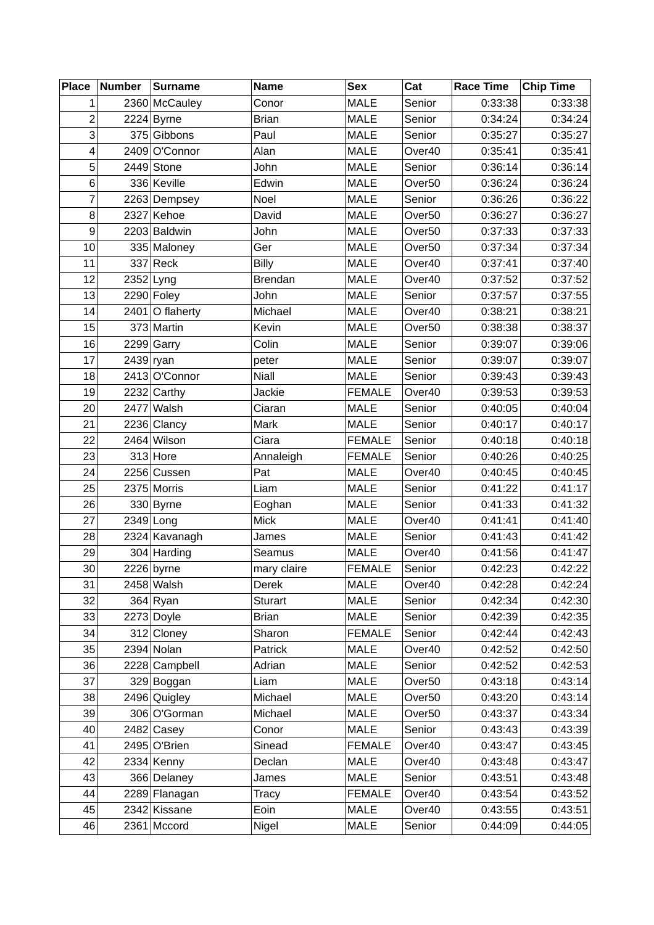| <b>MALE</b><br>0:33:38<br>2360 McCauley<br>Senior<br>1<br>Conor<br>$\overline{c}$<br><b>MALE</b><br>$2224$ Byrne<br><b>Brian</b><br>0:34:24<br>Senior | 0:33:38<br>0:34:24 |
|-------------------------------------------------------------------------------------------------------------------------------------------------------|--------------------|
|                                                                                                                                                       |                    |
|                                                                                                                                                       |                    |
| 3<br>375 Gibbons<br>Paul<br><b>MALE</b><br>Senior<br>0:35:27                                                                                          | 0:35:27            |
| 2409 O'Connor<br>Alan<br><b>MALE</b><br>0:35:41<br>4<br>Over40                                                                                        | 0:35:41            |
| 5<br>$2449$ Stone<br>John<br><b>MALE</b><br>0:36:14<br>Senior                                                                                         | 0:36:14            |
| 336 Keville<br>Edwin<br><b>MALE</b><br>0:36:24<br>6<br>Over <sub>50</sub>                                                                             | 0:36:24            |
| 7<br>2263 Dempsey<br><b>MALE</b><br>0:36:26<br>Noel<br>Senior                                                                                         | 0:36:22            |
| 8<br><b>MALE</b><br>0:36:27<br>2327 Kehoe<br>David<br>Over <sub>50</sub>                                                                              | 0:36:27            |
| 9<br>2203 Baldwin<br><b>MALE</b><br>0:37:33<br>John<br>Over <sub>50</sub>                                                                             | 0:37:33            |
| 10<br>0:37:34<br>335 Maloney<br>Ger<br><b>MALE</b><br>Over <sub>50</sub>                                                                              | 0:37:34            |
| $337$ Reck<br><b>Billy</b><br><b>MALE</b><br>0:37:41<br>11<br>Over40                                                                                  | 0:37:40            |
| 2352 Lyng<br>12<br><b>Brendan</b><br><b>MALE</b><br>0:37:52<br>Over40                                                                                 | 0:37:52            |
| $2290$ Foley<br>13<br>John<br><b>MALE</b><br>Senior<br>0:37:57                                                                                        | 0:37:55            |
| 14<br>$2401$ O flaherty<br><b>MALE</b><br>0:38:21<br>Michael<br>Over40                                                                                | 0:38:21            |
| 373 Martin<br>Kevin<br><b>MALE</b><br>0:38:38<br>15<br>Over <sub>50</sub>                                                                             | 0:38:37            |
| 16<br>2299 Garry<br>Colin<br><b>MALE</b><br>0:39:07<br>Senior                                                                                         | 0:39:06            |
| 17<br>$2439$ ryan<br><b>MALE</b><br>Senior<br>0:39:07<br>peter                                                                                        | 0:39:07            |
| 18<br>2413 O'Connor<br><b>Niall</b><br><b>MALE</b><br>0:39:43<br>Senior                                                                               | 0:39:43            |
| 19<br>$2232$ Carthy<br><b>Jackie</b><br><b>FEMALE</b><br>0:39:53<br>Over40                                                                            | 0:39:53            |
| 2477 Walsh<br>20<br><b>MALE</b><br>0:40:05<br>Ciaran<br>Senior                                                                                        | 0:40:04            |
| 21<br>2236 Clancy<br><b>MALE</b><br>0:40:17<br>Mark<br>Senior                                                                                         | 0:40:17            |
| 22<br>2464 Wilson<br><b>FEMALE</b><br>Senior<br>0:40:18<br>Ciara                                                                                      | 0:40:18            |
| 23<br>$313$ Hore<br>0:40:26<br>Annaleigh<br><b>FEMALE</b><br>Senior                                                                                   | 0:40:25            |
| 2256 Cussen<br>0:40:45<br>24<br>Pat<br><b>MALE</b><br>Over40                                                                                          | 0:40:45            |
| 25<br>2375 Morris<br><b>MALE</b><br>0:41:22<br>Liam<br>Senior                                                                                         | 0:41:17            |
| 26<br>330 Byrne<br><b>MALE</b><br>0:41:33<br>Eoghan<br>Senior                                                                                         | 0:41:32            |
| 27<br>$2349$ Long<br>Mick<br><b>MALE</b><br>0:41:41<br>Over40                                                                                         | 0:41:40            |
| 28<br>2324 Kavanagh<br><b>MALE</b><br>0:41:43<br><b>James</b><br>Senior                                                                               | 0:41:42            |
| 304 Harding<br>29<br><b>MALE</b><br>Over40<br>0:41:56<br>Seamus                                                                                       | 0:41:47            |
| 30<br>2226 byrne<br>0:42:23<br><b>FEMALE</b><br>Senior<br>mary claire                                                                                 | 0:42:22            |
| 31<br>$2458$ Walsh<br>0:42:28<br><b>MALE</b><br>Over40<br>Derek                                                                                       | 0:42:24            |
| 32<br>$364$ Ryan<br><b>MALE</b><br>0:42:34<br><b>Sturart</b><br>Senior                                                                                | 0:42:30            |
| 33<br>2273 Doyle<br><b>MALE</b><br>0:42:39<br><b>Brian</b><br>Senior                                                                                  | 0:42:35            |
| 34<br>312 Cloney<br><b>FEMALE</b><br>Sharon<br>Senior<br>0:42:44<br>$2394$ Nolan                                                                      | 0:42:43            |
| 35<br>0:42:52<br>MALE<br>Over40<br>Patrick<br>2228 Campbell<br><b>MALE</b><br>0:42:52<br>36<br>Adrian<br>Senior                                       | 0:42:50<br>0:42:53 |
| 37<br>329 Boggan<br><b>MALE</b><br>Over <sub>50</sub><br>0:43:18<br>Liam                                                                              | 0:43:14            |
| $2496$ Quigley<br>38<br>Michael<br><b>MALE</b><br>0:43:20<br>Over <sub>50</sub>                                                                       | 0:43:14            |
| 39<br><b>MALE</b><br>0:43:37<br>306 O'Gorman<br>Over <sub>50</sub><br>Michael                                                                         | 0:43:34            |
| 0:43:43<br>2482 Casey<br><b>MALE</b><br>40<br>Conor<br>Senior                                                                                         | 0:43:39            |
| 2495 O'Brien<br><b>FEMALE</b><br>0:43:47<br>Sinead<br>Over40<br>41                                                                                    | 0:43:45            |
| 42<br>$2334$ Kenny<br><b>MALE</b><br>0:43:48<br>Declan<br>Over40                                                                                      | 0:43:47            |
| 366 Delaney<br>MALE<br>43<br>Senior<br>0:43:51<br>James                                                                                               | 0:43:48            |
| <b>FEMALE</b><br>0:43:54<br>44<br>2289 Flanagan<br>Over40<br>Tracy                                                                                    | 0:43:52            |
| 2342 Kissane<br>0:43:55<br>Eoin<br><b>MALE</b><br>Over40<br>45                                                                                        | 0:43:51            |
| $2361$ Mccord<br>46<br><b>MALE</b><br>Senior<br>0:44:09<br>Nigel                                                                                      | 0:44:05            |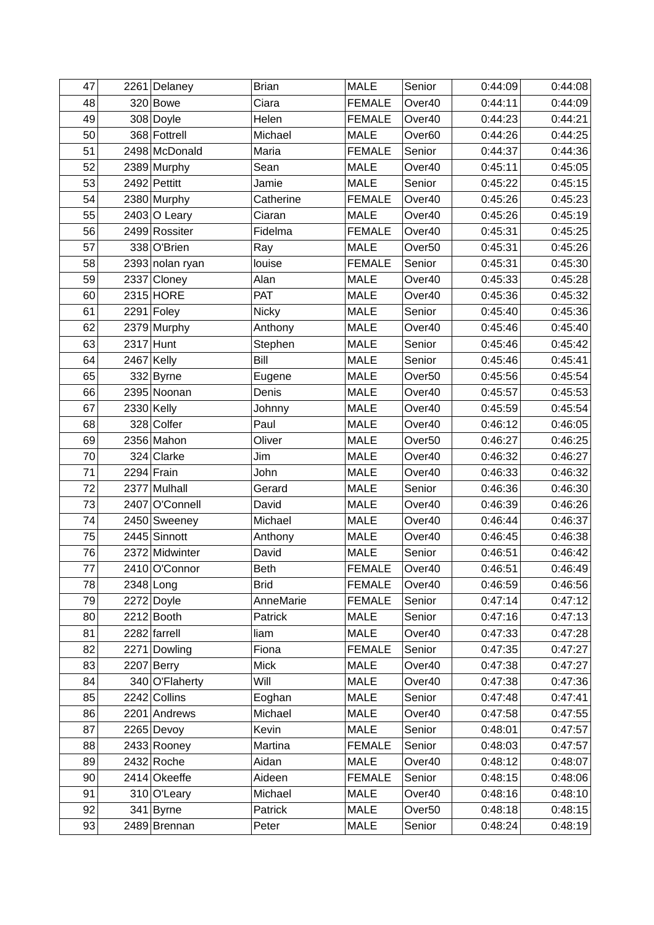| 47 | 2261 Delaney    | <b>Brian</b> | <b>MALE</b>   | Senior             | 0:44:09 | 0:44:08 |
|----|-----------------|--------------|---------------|--------------------|---------|---------|
| 48 | $320$ Bowe      | Ciara        | <b>FEMALE</b> | Over40             | 0:44:11 | 0:44:09 |
| 49 | 308 Doyle       | Helen        | <b>FEMALE</b> | Over40             | 0:44:23 | 0:44:21 |
| 50 | 368 Fottrell    | Michael      | <b>MALE</b>   | Over <sub>60</sub> | 0:44:26 | 0:44:25 |
| 51 | 2498 McDonald   | Maria        | <b>FEMALE</b> | Senior             | 0:44:37 | 0:44:36 |
| 52 | 2389 Murphy     | Sean         | <b>MALE</b>   | Over40             | 0:45:11 | 0:45:05 |
| 53 | $2492$ Pettitt  | Jamie        | <b>MALE</b>   | Senior             | 0:45:22 | 0:45:15 |
| 54 | 2380 Murphy     | Catherine    | <b>FEMALE</b> | Over40             | 0:45:26 | 0:45:23 |
| 55 | $2403$ O Leary  | Ciaran       | <b>MALE</b>   | Over40             | 0:45:26 | 0:45:19 |
| 56 | 2499 Rossiter   | Fidelma      | <b>FEMALE</b> | Over40             | 0:45:31 | 0:45:25 |
| 57 | 338 O'Brien     | Ray          | <b>MALE</b>   | Over <sub>50</sub> | 0:45:31 | 0:45:26 |
| 58 | 2393 nolan ryan | louise       | <b>FEMALE</b> | Senior             | 0:45:31 | 0:45:30 |
| 59 | 2337 Cloney     | Alan         | <b>MALE</b>   | Over40             | 0:45:33 | 0:45:28 |
| 60 | 2315 HORE       | PAT          | <b>MALE</b>   | Over40             | 0:45:36 | 0:45:32 |
| 61 | $2291$ Foley    | Nicky        | <b>MALE</b>   | Senior             | 0:45:40 | 0:45:36 |
| 62 | 2379 Murphy     | Anthony      | <b>MALE</b>   | Over40             | 0:45:46 | 0:45:40 |
| 63 | 2317 Hunt       | Stephen      | <b>MALE</b>   | Senior             | 0:45:46 | 0:45:42 |
| 64 | $2467$ Kelly    | Bill         | <b>MALE</b>   | Senior             | 0:45:46 | 0:45:41 |
| 65 | 332 Byrne       | Eugene       | <b>MALE</b>   | Over <sub>50</sub> | 0:45:56 | 0:45:54 |
| 66 | 2395 Noonan     | Denis        | <b>MALE</b>   | Over40             | 0:45:57 | 0:45:53 |
| 67 | $2330$ Kelly    | Johnny       | <b>MALE</b>   | Over40             | 0:45:59 | 0:45:54 |
| 68 | 328 Colfer      | Paul         | <b>MALE</b>   | Over40             | 0:46:12 | 0:46:05 |
| 69 | 2356 Mahon      | Oliver       | <b>MALE</b>   | Over <sub>50</sub> | 0:46:27 | 0:46:25 |
| 70 | 324 Clarke      | Jim          | <b>MALE</b>   | Over40             | 0:46:32 | 0:46:27 |
| 71 | $2294$ Frain    | John         | <b>MALE</b>   | Over40             | 0:46:33 | 0:46:32 |
| 72 | 2377 Mulhall    | Gerard       | <b>MALE</b>   | Senior             | 0:46:36 | 0:46:30 |
| 73 | 2407 O'Connell  | David        | <b>MALE</b>   | Over40             | 0:46:39 | 0:46:26 |
| 74 | 2450 Sweeney    | Michael      | <b>MALE</b>   | Over40             | 0:46:44 | 0:46:37 |
| 75 | 2445 Sinnott    | Anthony      | <b>MALE</b>   | Over40             | 0:46:45 | 0:46:38 |
| 76 | 2372 Midwinter  | David        | <b>MALE</b>   | Senior             | 0:46:51 | 0:46:42 |
| 77 | 2410 O'Connor   | <b>Beth</b>  | <b>FEMALE</b> | Over40             | 0:46:51 | 0:46:49 |
| 78 | $2348$ Long     | <b>Brid</b>  | <b>FEMALE</b> | Over40             | 0:46:59 | 0:46:56 |
| 79 | 2272 Doyle      | AnneMarie    | <b>FEMALE</b> | Senior             | 0:47:14 | 0:47:12 |
| 80 | $2212$ Booth    | Patrick      | <b>MALE</b>   | Senior             | 0:47:16 | 0:47:13 |
| 81 | 2282 farrell    | liam         | <b>MALE</b>   | Over40             | 0:47:33 | 0:47:28 |
| 82 | 2271 Dowling    | Fiona        | <b>FEMALE</b> | Senior             | 0:47:35 | 0:47:27 |
| 83 | $2207$ Berry    | Mick         | <b>MALE</b>   | Over40             | 0:47:38 | 0:47:27 |
| 84 | 340 O'Flaherty  | Will         | <b>MALE</b>   | Over40             | 0:47:38 | 0:47:36 |
| 85 | 2242 Collins    | Eoghan       | <b>MALE</b>   | Senior             | 0:47:48 | 0:47:41 |
| 86 | 2201 Andrews    | Michael      | <b>MALE</b>   | Over40             | 0:47:58 | 0:47:55 |
| 87 | 2265 Devoy      | Kevin        | MALE          | Senior             | 0:48:01 | 0:47:57 |
| 88 | 2433 Rooney     | Martina      | <b>FEMALE</b> | Senior             | 0:48:03 | 0:47:57 |
| 89 | $2432$ Roche    | Aidan        | <b>MALE</b>   | Over40             | 0:48:12 | 0:48:07 |
| 90 | 2414 Okeeffe    | Aideen       | <b>FEMALE</b> | Senior             | 0:48:15 | 0:48:06 |
| 91 | 310 O'Leary     | Michael      | <b>MALE</b>   | Over40             | 0:48:16 | 0:48:10 |
| 92 | $341$ Byrne     | Patrick      | MALE          | Over <sub>50</sub> | 0:48:18 | 0:48:15 |
| 93 | 2489 Brennan    | Peter        | <b>MALE</b>   | Senior             | 0:48:24 | 0:48:19 |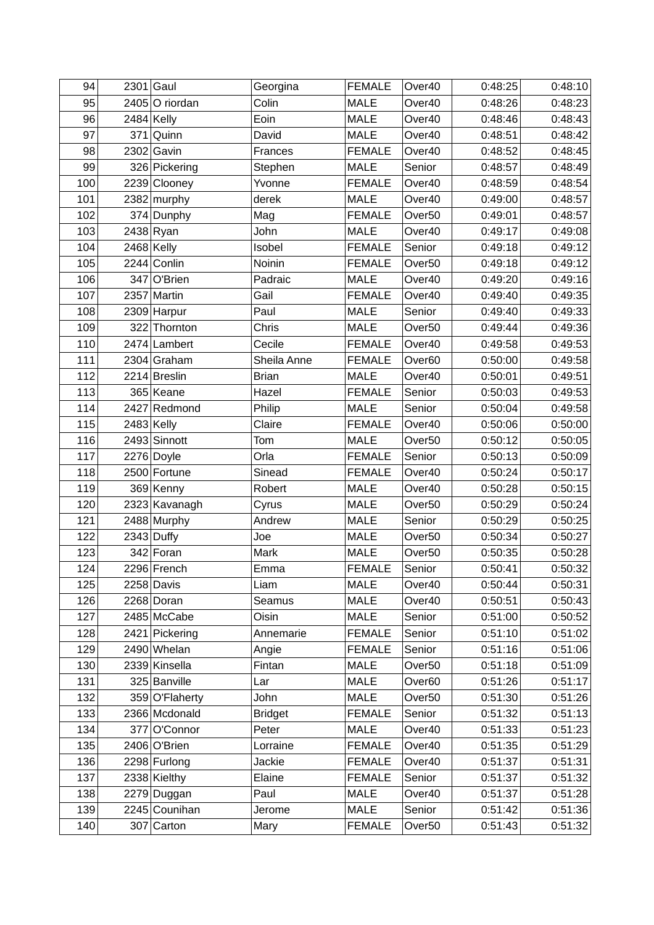| 94  | $2301$ Gaul    | Georgina       | <b>FEMALE</b> | Over40             | 0:48:25 | 0:48:10 |
|-----|----------------|----------------|---------------|--------------------|---------|---------|
| 95  | 2405 O riordan | Colin          | <b>MALE</b>   | Over40             | 0:48:26 | 0:48:23 |
| 96  | $2484$ Kelly   | Eoin           | <b>MALE</b>   | Over40             | 0:48:46 | 0:48:43 |
| 97  | 371 Quinn      | David          | <b>MALE</b>   | Over40             | 0:48:51 | 0:48:42 |
| 98  | 2302 Gavin     | Frances        | <b>FEMALE</b> | Over40             | 0:48:52 | 0:48:45 |
| 99  | 326 Pickering  | Stephen        | <b>MALE</b>   | Senior             | 0:48:57 | 0:48:49 |
| 100 | 2239 Clooney   | Yvonne         | <b>FEMALE</b> | Over40             | 0:48:59 | 0:48:54 |
| 101 | $2382$ murphy  | derek          | <b>MALE</b>   | Over40             | 0:49:00 | 0:48:57 |
| 102 | 374 Dunphy     | Mag            | <b>FEMALE</b> | Over <sub>50</sub> | 0:49:01 | 0:48:57 |
| 103 | 2438 Ryan      | John           | <b>MALE</b>   | Over40             | 0:49:17 | 0:49:08 |
| 104 | $2468$ Kelly   | Isobel         | <b>FEMALE</b> | Senior             | 0:49:18 | 0:49:12 |
| 105 | 2244 Conlin    | Noinin         | <b>FEMALE</b> | Over <sub>50</sub> | 0:49:18 | 0:49:12 |
| 106 | 347 O'Brien    | Padraic        | <b>MALE</b>   | Over40             | 0:49:20 | 0:49:16 |
| 107 | 2357 Martin    | Gail           | <b>FEMALE</b> | Over40             | 0:49:40 | 0:49:35 |
| 108 | $2309$ Harpur  | Paul           | <b>MALE</b>   | Senior             | 0:49:40 | 0:49:33 |
| 109 | 322 Thornton   | Chris          | <b>MALE</b>   | Over <sub>50</sub> | 0:49:44 | 0:49:36 |
| 110 | 2474 Lambert   | Cecile         | <b>FEMALE</b> | Over40             | 0:49:58 | 0:49:53 |
| 111 | $2304$ Graham  | Sheila Anne    | <b>FEMALE</b> | Over <sub>60</sub> | 0:50:00 | 0:49:58 |
| 112 | 2214 Breslin   | <b>Brian</b>   | <b>MALE</b>   | Over40             | 0:50:01 | 0:49:51 |
| 113 | 365 Keane      | Hazel          | <b>FEMALE</b> | Senior             | 0:50:03 | 0:49:53 |
| 114 | 2427 Redmond   | Philip         | <b>MALE</b>   | Senior             | 0:50:04 | 0:49:58 |
| 115 | $2483$ Kelly   | Claire         | <b>FEMALE</b> | Over40             | 0:50:06 | 0:50:00 |
| 116 | 2493 Sinnott   | Tom            | <b>MALE</b>   | Over <sub>50</sub> | 0:50:12 | 0:50:05 |
| 117 | 2276 Doyle     | Orla           | <b>FEMALE</b> | Senior             | 0:50:13 | 0:50:09 |
| 118 | 2500 Fortune   | Sinead         | <b>FEMALE</b> | Over40             | 0:50:24 | 0:50:17 |
| 119 | 369 Kenny      | Robert         | <b>MALE</b>   | Over40             | 0:50:28 | 0:50:15 |
| 120 | 2323 Kavanagh  | Cyrus          | <b>MALE</b>   | Over <sub>50</sub> | 0:50:29 | 0:50:24 |
| 121 | 2488 Murphy    | Andrew         | <b>MALE</b>   | Senior             | 0:50:29 | 0:50:25 |
| 122 | $2343$ Duffy   | Joe            | <b>MALE</b>   | Over <sub>50</sub> | 0:50:34 | 0:50:27 |
| 123 | 342 Foran      | Mark           | <b>MALE</b>   | Over <sub>50</sub> | 0:50:35 | 0:50:28 |
| 124 | 2296 French    | Emma           | <b>FEMALE</b> | Senior             | 0:50:41 | 0:50:32 |
| 125 | $2258$ Davis   | Liam           | <b>MALE</b>   | Over40             | 0:50:44 | 0:50:31 |
| 126 | 2268 Doran     | Seamus         | <b>MALE</b>   | Over40             | 0:50:51 | 0:50:43 |
| 127 | 2485 McCabe    | Oisin          | <b>MALE</b>   | Senior             | 0:51:00 | 0:50:52 |
| 128 | 2421 Pickering | Annemarie      | <b>FEMALE</b> | Senior             | 0:51:10 | 0:51:02 |
| 129 | 2490 Whelan    | Angie          | <b>FEMALE</b> | Senior             | 0:51:16 | 0:51:06 |
| 130 | 2339 Kinsella  | Fintan         | <b>MALE</b>   | Over <sub>50</sub> | 0:51:18 | 0:51:09 |
| 131 | 325 Banville   | Lar            | <b>MALE</b>   | Over60             | 0:51:26 | 0:51:17 |
| 132 | 359 O'Flaherty | John           | <b>MALE</b>   | Over <sub>50</sub> | 0:51:30 | 0:51:26 |
| 133 | 2366 Mcdonald  | <b>Bridget</b> | <b>FEMALE</b> | Senior             | 0:51:32 | 0:51:13 |
| 134 | 377 O'Connor   | Peter          | <b>MALE</b>   | Over40             | 0:51:33 | 0:51:23 |
| 135 | 2406 O'Brien   | Lorraine       | <b>FEMALE</b> | Over40             | 0:51:35 | 0:51:29 |
| 136 | 2298 Furlong   | <b>Jackie</b>  | <b>FEMALE</b> | Over40             | 0:51:37 | 0:51:31 |
| 137 | 2338 Kielthy   | Elaine         | <b>FEMALE</b> | Senior             | 0:51:37 | 0:51:32 |
| 138 | 2279 Duggan    | Paul           | <b>MALE</b>   | Over40             | 0:51:37 | 0:51:28 |
| 139 | 2245 Counihan  | Jerome         | <b>MALE</b>   | Senior             | 0:51:42 | 0:51:36 |
| 140 | $307$ Carton   | Mary           | <b>FEMALE</b> | Over <sub>50</sub> | 0:51:43 | 0:51:32 |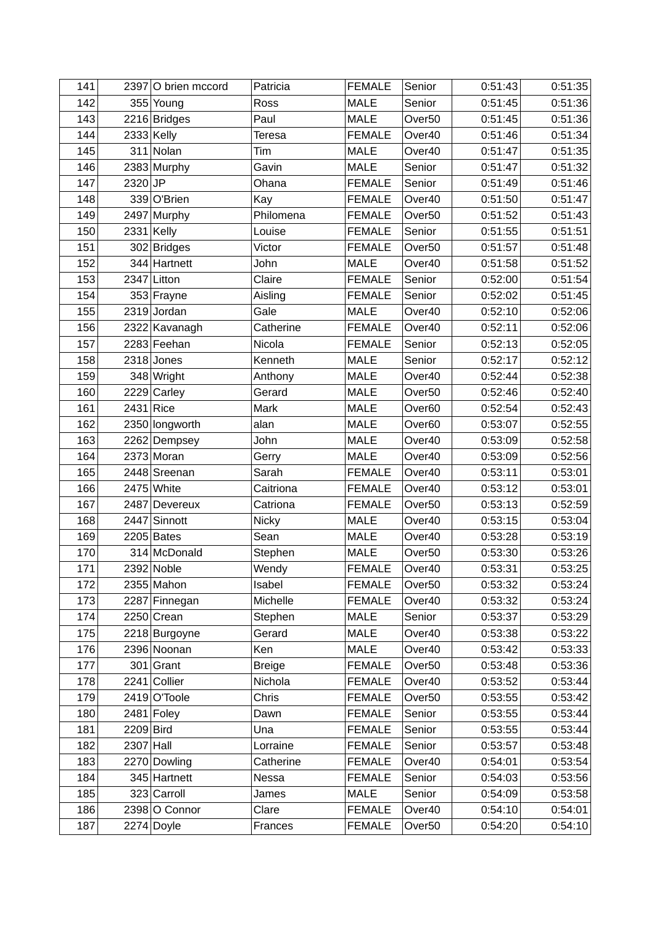| 141        |                            | 2397 O brien mccord | Patricia              | <b>FEMALE</b>                  | Senior             | 0:51:43            | 0:51:35            |
|------------|----------------------------|---------------------|-----------------------|--------------------------------|--------------------|--------------------|--------------------|
| 142        |                            | 355 Young           | Ross                  | <b>MALE</b>                    | Senior             | 0:51:45            | 0:51:36            |
| 143        |                            | 2216 Bridges        | Paul                  | <b>MALE</b>                    | Over <sub>50</sub> | 0:51:45            | 0:51:36            |
| 144        |                            | $2333$ Kelly        | Teresa                | <b>FEMALE</b>                  | Over40             | 0:51:46            | 0:51:34            |
| 145        |                            | $311$ Nolan         | Tim                   | <b>MALE</b>                    | Over40             | 0:51:47            | 0:51:35            |
| 146        |                            | 2383 Murphy         | Gavin                 | <b>MALE</b>                    | Senior             | 0:51:47            | 0:51:32            |
| 147        | $2320$ JP                  |                     | Ohana                 | <b>FEMALE</b>                  | Senior             | 0:51:49            | 0:51:46            |
| 148        |                            | 339 O'Brien         | Kay                   | <b>FEMALE</b>                  | Over40             | 0:51:50            | 0:51:47            |
| 149        |                            | 2497 Murphy         | Philomena             | <b>FEMALE</b>                  | Over <sub>50</sub> | 0:51:52            | 0:51:43            |
| 150        |                            | $2331$ Kelly        | Louise                | <b>FEMALE</b>                  | Senior             | 0:51:55            | 0:51:51            |
| 151        |                            | 302 Bridges         | Victor                | <b>FEMALE</b>                  | Over <sub>50</sub> | 0:51:57            | 0:51:48            |
| 152        |                            | 344 Hartnett        | John                  | <b>MALE</b>                    | Over40             | 0:51:58            | 0:51:52            |
| 153        |                            | $2347$ Litton       | Claire                | <b>FEMALE</b>                  | Senior             | 0:52:00            | 0:51:54            |
| 154        |                            | 353 Frayne          | Aisling               | <b>FEMALE</b>                  | Senior             | 0:52:02            | 0:51:45            |
| 155        |                            | $2319$ Jordan       | Gale                  | <b>MALE</b>                    | Over40             | 0:52:10            | 0:52:06            |
| 156        |                            | 2322 Kavanagh       | Catherine             | <b>FEMALE</b>                  | Over40             | 0:52:11            | 0:52:06            |
| 157        |                            | 2283 Feehan         | Nicola                | <b>FEMALE</b>                  | Senior             | 0:52:13            | 0:52:05            |
| 158        |                            | $2318$ Jones        | Kenneth               | <b>MALE</b>                    | Senior             | 0:52:17            | 0:52:12            |
| 159        |                            | 348 Wright          | Anthony               | <b>MALE</b>                    | Over40             | 0:52:44            | 0:52:38            |
| 160        |                            | 2229 Carley         | Gerard                | <b>MALE</b>                    | Over <sub>50</sub> | 0:52:46            | 0:52:40            |
| 161        | $2431$ Rice                |                     | Mark                  | <b>MALE</b>                    | Over <sub>60</sub> | 0:52:54            | 0:52:43            |
| 162        |                            | 2350 longworth      | alan                  | <b>MALE</b>                    | Over <sub>60</sub> | 0:53:07            | 0:52:55            |
| 163        |                            | 2262 Dempsey        | John                  | <b>MALE</b>                    | Over40             | 0:53:09            | 0:52:58            |
| 164        |                            | 2373 Moran          | Gerry                 | <b>MALE</b>                    | Over40             | 0:53:09            | 0:52:56            |
| 165        |                            | 2448 Sreenan        | Sarah                 | <b>FEMALE</b>                  | Over40             | 0:53:11            | 0:53:01            |
| 166        |                            | $2475$ White        | Caitriona             | <b>FEMALE</b>                  | Over40             | 0:53:12            | 0:53:01            |
| 167        |                            | 2487 Devereux       | Catriona              | <b>FEMALE</b>                  | Over <sub>50</sub> | 0:53:13            | 0:52:59            |
| 168        |                            | 2447 Sinnott        | Nicky                 | <b>MALE</b>                    | Over40             | 0:53:15            | 0:53:04            |
| 169        |                            | $2205$ Bates        | Sean                  | <b>MALE</b>                    | Over40             | 0:53:28            | 0:53:19            |
| 170        |                            | 314 McDonald        | Stephen               | <b>MALE</b>                    | Over <sub>50</sub> | 0:53:30            | 0:53:26            |
| 171        |                            | 2392 Noble          | Wendy                 | <b>FEMALE</b>                  | Over40             | 0:53:31            | 0:53:25            |
| 172        |                            | $2355$ Mahon        | Isabel                | <b>FEMALE</b>                  | Over <sub>50</sub> | 0:53:32            | 0:53:24            |
| 173        |                            | 2287 Finnegan       | Michelle              | <b>FEMALE</b>                  | Over40             | 0:53:32            | 0:53:24            |
| 174        |                            | $2250$ Crean        | Stephen               | <b>MALE</b>                    | Senior             | 0:53:37            | 0:53:29            |
| 175        |                            | 2218 Burgoyne       | Gerard                | MALE                           | Over40             | 0:53:38            | 0:53:22            |
| 176        |                            | 2396 Noonan         | Ken                   | MALE                           | Over40             | 0:53:42            | 0:53:33            |
| 177        |                            | $301$ Grant         | <b>Breige</b>         | <b>FEMALE</b>                  | Over <sub>50</sub> | 0:53:48            | 0:53:36            |
| 178        |                            | 2241 Collier        | Nichola               | <b>FEMALE</b>                  | Over40             | 0:53:52            | 0:53:44            |
| 179        |                            | $2419$ O'Toole      | Chris                 | <b>FEMALE</b>                  | Over <sub>50</sub> | 0:53:55            | 0:53:42            |
| 180        |                            | $2481$ Foley        | Dawn                  | <b>FEMALE</b>                  | Senior             | 0:53:55            | 0:53:44            |
| 181        | $2209$ Bird<br>$2307$ Hall |                     | Una                   | <b>FEMALE</b>                  | Senior             | 0:53:55            | 0:53:44            |
| 182<br>183 |                            | 2270 Dowling        | Lorraine<br>Catherine | <b>FEMALE</b><br><b>FEMALE</b> | Senior<br>Over40   | 0:53:57<br>0:54:01 | 0:53:48<br>0:53:54 |
| 184        |                            | 345 Hartnett        | Nessa                 | <b>FEMALE</b>                  | Senior             | 0:54:03            | 0:53:56            |
| 185        |                            | 323 Carroll         | James                 | <b>MALE</b>                    | Senior             | 0:54:09            | 0:53:58            |
| 186        |                            | 2398 O Connor       | Clare                 | <b>FEMALE</b>                  | Over40             | 0:54:10            | 0:54:01            |
| 187        |                            | 2274 Doyle          | Frances               | <b>FEMALE</b>                  | Over <sub>50</sub> | 0:54:20            | 0:54:10            |
|            |                            |                     |                       |                                |                    |                    |                    |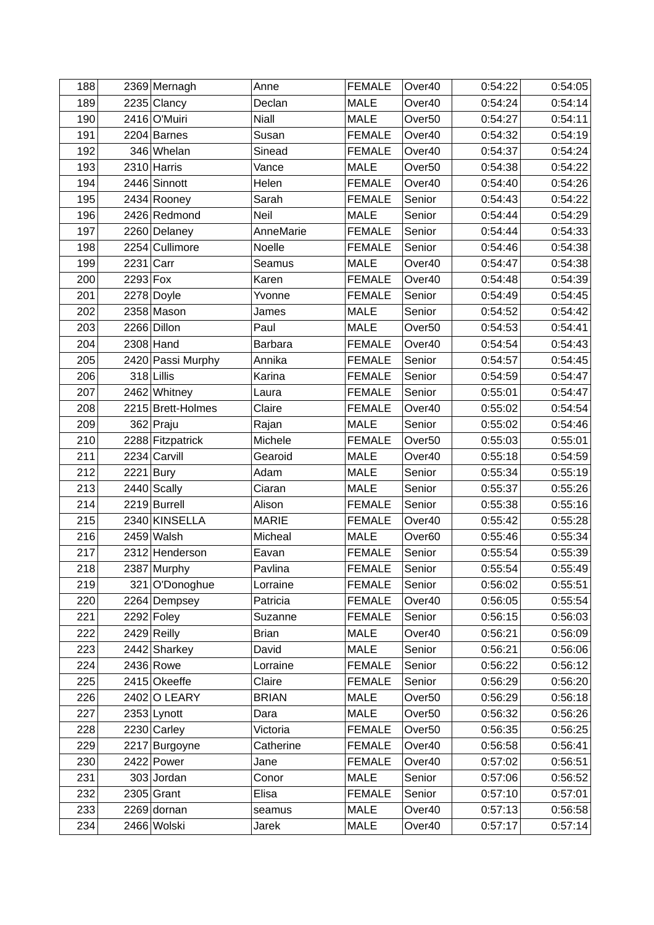| 188        |             | 2369 Mernagh                | Anne           | <b>FEMALE</b>                  | Over40             | 0:54:22            | 0:54:05            |
|------------|-------------|-----------------------------|----------------|--------------------------------|--------------------|--------------------|--------------------|
| 189        |             | $2235$ Clancy               | Declan         | <b>MALE</b>                    | Over40             | 0:54:24            | 0:54:14            |
| 190        |             | 2416 O'Muiri                | <b>Niall</b>   | <b>MALE</b>                    | Over <sub>50</sub> | 0:54:27            | 0:54:11            |
| 191        |             | $2204$ Barnes               | Susan          | <b>FEMALE</b>                  | Over40             | 0:54:32            | 0:54:19            |
| 192        |             | 346 Whelan                  | Sinead         | <b>FEMALE</b>                  | Over40             | 0:54:37            | 0:54:24            |
| 193        |             | 2310 Harris                 | Vance          | <b>MALE</b>                    | Over <sub>50</sub> | 0:54:38            | 0:54:22            |
| 194        |             | 2446 Sinnott                | Helen          | <b>FEMALE</b>                  | Over40             | 0:54:40            | 0:54:26            |
| 195        |             | 2434 Rooney                 | Sarah          | <b>FEMALE</b>                  | Senior             | 0:54:43            | 0:54:22            |
| 196        |             | 2426 Redmond                | Neil           | <b>MALE</b>                    | Senior             | 0:54:44            | 0:54:29            |
| 197        |             | 2260 Delaney                | AnneMarie      | <b>FEMALE</b>                  | Senior             | 0:54:44            | 0:54:33            |
| 198        |             | 2254 Cullimore              | Noelle         | <b>FEMALE</b>                  | Senior             | 0:54:46            | 0:54:38            |
| 199        | $2231$ Carr |                             | Seamus         | <b>MALE</b>                    | Over40             | 0:54:47            | 0:54:38            |
| 200        | $2293$ Fox  |                             | Karen          | <b>FEMALE</b>                  | Over40             | 0:54:48            | 0:54:39            |
| 201        |             | 2278 Doyle                  | Yvonne         | <b>FEMALE</b>                  | Senior             | 0:54:49            | 0:54:45            |
| 202        |             | 2358 Mason                  | James          | <b>MALE</b>                    | Senior             | 0:54:52            | 0:54:42            |
| 203        |             | 2266 Dillon                 | Paul           | <b>MALE</b>                    | Over <sub>50</sub> | 0:54:53            | 0:54:41            |
| 204        |             | $2308$ Hand                 | <b>Barbara</b> | <b>FEMALE</b>                  | Over40             | 0:54:54            | 0:54:43            |
| 205        |             | 2420 Passi Murphy           | Annika         | <b>FEMALE</b>                  | Senior             | 0:54:57            | 0:54:45            |
| 206        |             | 318 Lillis                  | Karina         | <b>FEMALE</b>                  | Senior             | 0:54:59            | 0:54:47            |
| 207        |             | 2462 Whitney                | Laura          | <b>FEMALE</b>                  | Senior             | 0:55:01            | 0:54:47            |
| 208        |             | 2215 Brett-Holmes           | Claire         | <b>FEMALE</b>                  | Over40             | 0:55:02            | 0:54:54            |
| 209        |             | 362 Praju                   | Rajan          | <b>MALE</b>                    | Senior             | 0:55:02            | 0:54:46            |
| 210        |             | 2288 Fitzpatrick            | Michele        | <b>FEMALE</b>                  | Over <sub>50</sub> | 0:55:03            | 0:55:01            |
| 211        |             | 2234 Carvill                | Gearoid        | <b>MALE</b>                    | Over40             | 0:55:18            | 0:54:59            |
| 212        | $2221$ Bury |                             | Adam           | <b>MALE</b>                    | Senior             | 0:55:34            | 0:55:19            |
| 213        |             | 2440 Scally                 | Ciaran         | <b>MALE</b>                    | Senior             | 0:55:37            | 0:55:26            |
| 214        |             | 2219 Burrell                | Alison         | <b>FEMALE</b>                  | Senior             | 0:55:38            | 0:55:16            |
| 215        |             | 2340 KINSELLA               | <b>MARIE</b>   | <b>FEMALE</b>                  | Over40             | 0:55:42            | 0:55:28            |
| 216        |             | 2459 Walsh                  | Micheal        | <b>MALE</b>                    | Over <sub>60</sub> | 0:55:46            | 0:55:34            |
| 217        |             | 2312 Henderson              | Eavan          | <b>FEMALE</b>                  | Senior             | 0:55:54            | 0:55:39            |
| 218        |             | 2387 Murphy                 | Pavlina        | <b>FEMALE</b>                  | Senior             | 0:55:54            | 0:55:49            |
| 219        |             | 321 O'Donoghue              | Lorraine       | <b>FEMALE</b>                  | Senior             | 0:56:02            | 0:55:51            |
| 220        |             | 2264 Dempsey                | Patricia       | <b>FEMALE</b>                  | Over40             | 0:56:05            | 0:55:54            |
| 221        |             | $2292$ Foley                | Suzanne        | <b>FEMALE</b>                  | Senior             | 0:56:15            | 0:56:03            |
| 222        |             | $2429$ Reilly               | <b>Brian</b>   | <b>MALE</b>                    | Over40             | 0:56:21            | 0:56:09            |
| 223        |             | 2442 Sharkey                | David          | MALE                           | Senior             | 0:56:21            | 0:56:06            |
| 224        |             | 2436 Rowe                   | Lorraine       | <b>FEMALE</b>                  | Senior             | 0:56:22            | 0:56:12            |
| 225        |             | 2415 Okeeffe                | Claire         | <b>FEMALE</b>                  | Senior             | 0:56:29            | 0:56:20            |
| 226        |             | 2402 O LEARY                | <b>BRIAN</b>   | <b>MALE</b>                    | Over <sub>50</sub> | 0:56:29            | 0:56:18            |
| 227        |             | 2353 Lynott                 | Dara           | <b>MALE</b>                    | Over <sub>50</sub> | 0:56:32            | 0:56:26            |
| 228        |             | $2230$ Carley               | Victoria       | <b>FEMALE</b>                  | Over <sub>50</sub> | 0:56:35            | 0:56:25            |
| 229        |             | 2217 Burgoyne<br>2422 Power | Catherine      | <b>FEMALE</b><br><b>FEMALE</b> | Over40             | 0:56:58<br>0:57:02 | 0:56:41            |
| 230<br>231 |             | 303 Jordan                  | Jane<br>Conor  | <b>MALE</b>                    | Over40<br>Senior   | 0:57:06            | 0:56:51<br>0:56:52 |
| 232        |             | $2305$ Grant                | Elisa          | <b>FEMALE</b>                  | Senior             | 0:57:10            | 0:57:01            |
| 233        |             | 2269 dornan                 |                | <b>MALE</b>                    | Over40             | 0:57:13            | 0:56:58            |
| 234        |             | 2466 Wolski                 | seamus         | <b>MALE</b>                    |                    |                    | 0:57:14            |
|            |             |                             | Jarek          |                                | Over40             | 0:57:17            |                    |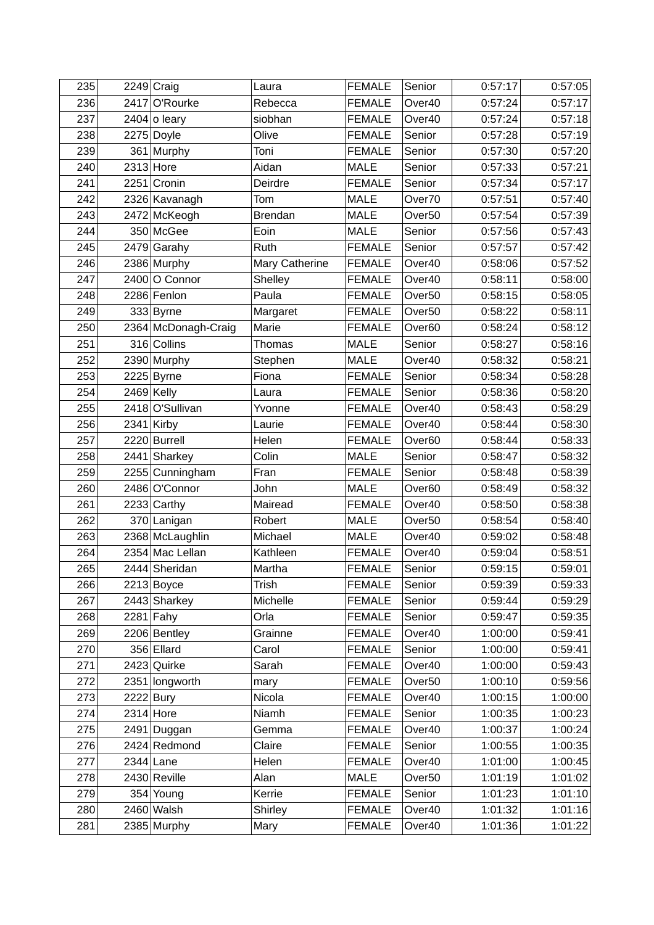| 235        |             | 2249 Craig                    | Laura          | <b>FEMALE</b>                  | Senior                       | 0:57:17            | 0:57:05            |
|------------|-------------|-------------------------------|----------------|--------------------------------|------------------------------|--------------------|--------------------|
| 236        |             | 2417 O'Rourke                 | Rebecca        | <b>FEMALE</b>                  | Over40                       | 0:57:24            | 0:57:17            |
| 237        |             | 2404 o leary                  | siobhan        | <b>FEMALE</b>                  | Over40                       | 0:57:24            | 0:57:18            |
| 238        |             | 2275 Doyle                    | Olive          | <b>FEMALE</b>                  | Senior                       | 0:57:28            | 0:57:19            |
| 239        |             | 361 Murphy                    | Toni           | <b>FEMALE</b>                  | Senior                       | 0:57:30            | 0:57:20            |
| 240        | $2313$ Hore |                               | Aidan          | <b>MALE</b>                    | Senior                       | 0:57:33            | 0:57:21            |
| 241        |             | $2251$ Cronin                 | Deirdre        | <b>FEMALE</b>                  | Senior                       | 0:57:34            | 0:57:17            |
| 242        |             | 2326 Kavanagh                 | Tom            | <b>MALE</b>                    | Over70                       | 0:57:51            | 0:57:40            |
| 243        |             | 2472 McKeogh                  | <b>Brendan</b> | <b>MALE</b>                    | Over <sub>50</sub>           | 0:57:54            | 0:57:39            |
| 244        |             | 350 McGee                     | Eoin           | <b>MALE</b>                    | Senior                       | 0:57:56            | 0:57:43            |
| 245        |             | 2479 Garahy                   | Ruth           | <b>FEMALE</b>                  | Senior                       | 0:57:57            | 0:57:42            |
| 246        |             | 2386 Murphy                   | Mary Catherine | <b>FEMALE</b>                  | Over40                       | 0:58:06            | 0:57:52            |
| 247        |             | 2400 O Connor                 | Shelley        | <b>FEMALE</b>                  | Over40                       | 0:58:11            | 0:58:00            |
| 248        |             | 2286 Fenlon                   | Paula          | <b>FEMALE</b>                  | Over <sub>50</sub>           | 0:58:15            | 0:58:05            |
| 249        |             | 333 Byrne                     | Margaret       | <b>FEMALE</b>                  | Over <sub>50</sub>           | 0:58:22            | 0:58:11            |
| 250        |             | 2364 McDonagh-Craig           | Marie          | <b>FEMALE</b>                  | Over60                       | 0:58:24            | 0:58:12            |
| 251        |             | 316 Collins                   | Thomas         | <b>MALE</b>                    | Senior                       | 0:58:27            | 0:58:16            |
| 252        |             | 2390 Murphy                   | Stephen        | <b>MALE</b>                    | Over40                       | 0:58:32            | 0:58:21            |
| 253        |             | $2225$ Byrne                  | Fiona          | <b>FEMALE</b>                  | Senior                       | 0:58:34            | 0:58:28            |
| 254        |             | $2469$ Kelly                  | Laura          | <b>FEMALE</b>                  | Senior                       | 0:58:36            | 0:58:20            |
| 255        |             | 2418 O'Sullivan               | Yvonne         | <b>FEMALE</b>                  | Over40                       | 0:58:43            | 0:58:29            |
| 256        |             | $2341$ Kirby                  | Laurie         | <b>FEMALE</b>                  | Over40                       | 0:58:44            | 0:58:30            |
| 257        |             | 2220 Burrell                  | Helen          | <b>FEMALE</b>                  | Over <sub>60</sub>           | 0:58:44            | 0:58:33            |
| 258        |             | 2441 Sharkey                  | Colin          | <b>MALE</b>                    | Senior                       | 0:58:47            | 0:58:32            |
| 259        |             | 2255 Cunningham               | Fran           | <b>FEMALE</b>                  | Senior                       | 0:58:48            | 0:58:39            |
| 260        |             | 2486 O'Connor                 | John           | <b>MALE</b>                    | Over <sub>60</sub>           | 0:58:49            | 0:58:32            |
| 261        |             | $2233$ Carthy                 | Mairead        | <b>FEMALE</b>                  | Over40                       | 0:58:50            | 0:58:38            |
| 262        |             | 370 Lanigan                   | Robert         | <b>MALE</b>                    | Over <sub>50</sub>           | 0:58:54            | 0:58:40            |
| 263        |             | 2368 McLaughlin               | Michael        | <b>MALE</b>                    | Over40                       | 0:59:02            | 0:58:48            |
| 264        |             | 2354 Mac Lellan               | Kathleen       | <b>FEMALE</b>                  | Over40                       | 0:59:04            | 0:58:51            |
| 265        |             | 2444 Sheridan                 | Martha         | <b>FEMALE</b>                  | Senior                       | 0:59:15            | 0:59:01            |
| 266        |             | $2213$ Boyce                  | Trish          | <b>FEMALE</b>                  | Senior                       | 0:59:39            | 0:59:33            |
| 267        |             | 2443 Sharkey                  | Michelle       | <b>FEMALE</b>                  | Senior                       | 0:59:44            | 0:59:29            |
| 268        |             | $2281$ Fahy                   | Orla           | <b>FEMALE</b>                  | Senior                       | 0:59:47            | 0:59:35            |
| 269        |             | 2206 Bentley                  | Grainne        | <b>FEMALE</b>                  | Over40                       | 1:00:00            | 0:59:41            |
| 270<br>271 |             | 356 Ellard                    | Carol<br>Sarah | <b>FEMALE</b><br><b>FEMALE</b> | Senior                       | 1:00:00<br>1:00:00 | 0:59:41<br>0:59:43 |
| 272        |             | 2423 Quirke<br>2351 longworth |                | <b>FEMALE</b>                  | Over40<br>Over <sub>50</sub> | 1:00:10            | 0:59:56            |
| 273        | $2222$ Bury |                               | mary<br>Nicola | <b>FEMALE</b>                  | Over40                       | 1:00:15            |                    |
| 274        | $2314$ Hore |                               | Niamh          | <b>FEMALE</b>                  | Senior                       | 1:00:35            | 1:00:00<br>1:00:23 |
| 275        |             | 2491 Duggan                   | Gemma          | <b>FEMALE</b>                  | Over40                       | 1:00:37            | 1:00:24            |
| 276        |             | 2424 Redmond                  | Claire         | <b>FEMALE</b>                  | Senior                       | 1:00:55            | 1:00:35            |
| 277        |             | $2344$ Lane                   | Helen          | <b>FEMALE</b>                  | Over40                       | 1:01:00            | 1:00:45            |
| 278        |             | 2430 Reville                  | Alan           | <b>MALE</b>                    | Over <sub>50</sub>           | 1:01:19            | 1:01:02            |
| 279        |             | 354 Young                     | Kerrie         | <b>FEMALE</b>                  | Senior                       | 1:01:23            | 1:01:10            |
| 280        |             | 2460 Walsh                    | Shirley        | <b>FEMALE</b>                  | Over40                       | 1:01:32            | 1:01:16            |
| 281        |             | 2385 Murphy                   | Mary           | <b>FEMALE</b>                  | Over40                       | 1:01:36            | 1:01:22            |
|            |             |                               |                |                                |                              |                    |                    |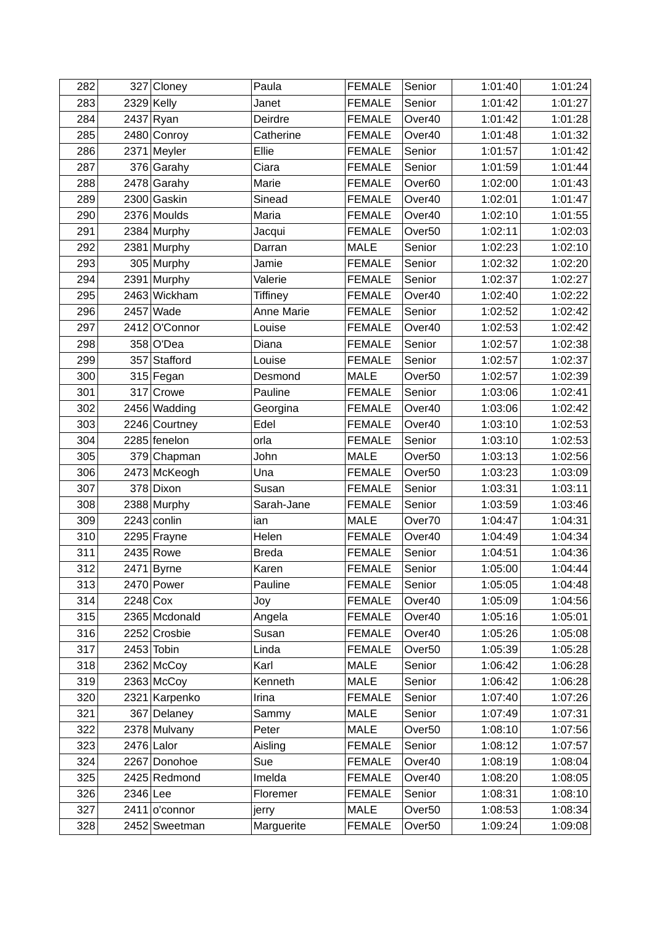| 282 |              | 327 Cloney      | Paula           | <b>FEMALE</b> | Senior             | 1:01:40 | 1:01:24 |
|-----|--------------|-----------------|-----------------|---------------|--------------------|---------|---------|
| 283 | $2329$ Kelly |                 | Janet           | <b>FEMALE</b> | Senior             | 1:01:42 | 1:01:27 |
| 284 |              | $2437$ Ryan     | Deirdre         | <b>FEMALE</b> | Over40             | 1:01:42 | 1:01:28 |
| 285 |              | 2480 Conroy     | Catherine       | <b>FEMALE</b> | Over40             | 1:01:48 | 1:01:32 |
| 286 |              | $2371$ Meyler   | Ellie           | <b>FEMALE</b> | Senior             | 1:01:57 | 1:01:42 |
| 287 |              | 376 Garahy      | Ciara           | <b>FEMALE</b> | Senior             | 1:01:59 | 1:01:44 |
| 288 |              | 2478 Garahy     | Marie           | <b>FEMALE</b> | Over60             | 1:02:00 | 1:01:43 |
| 289 |              | 2300 Gaskin     | Sinead          | <b>FEMALE</b> | Over40             | 1:02:01 | 1:01:47 |
| 290 |              | 2376 Moulds     | Maria           | <b>FEMALE</b> | Over40             | 1:02:10 | 1:01:55 |
| 291 |              | 2384 Murphy     | Jacqui          | <b>FEMALE</b> | Over <sub>50</sub> | 1:02:11 | 1:02:03 |
| 292 |              | 2381 Murphy     | Darran          | <b>MALE</b>   | Senior             | 1:02:23 | 1:02:10 |
| 293 |              | 305 Murphy      | Jamie           | <b>FEMALE</b> | Senior             | 1:02:32 | 1:02:20 |
| 294 |              | 2391 Murphy     | Valerie         | <b>FEMALE</b> | Senior             | 1:02:37 | 1:02:27 |
| 295 |              | 2463 Wickham    | <b>Tiffiney</b> | <b>FEMALE</b> | Over40             | 1:02:40 | 1:02:22 |
| 296 |              | $2457$ Wade     | Anne Marie      | <b>FEMALE</b> | Senior             | 1:02:52 | 1:02:42 |
| 297 |              | 2412 O'Connor   | Louise          | <b>FEMALE</b> | Over40             | 1:02:53 | 1:02:42 |
| 298 |              | 358 O'Dea       | Diana           | <b>FEMALE</b> | Senior             | 1:02:57 | 1:02:38 |
| 299 | 357          | Stafford        | Louise          | <b>FEMALE</b> | Senior             | 1:02:57 | 1:02:37 |
| 300 |              | 315 Fegan       | Desmond         | <b>MALE</b>   | Over <sub>50</sub> | 1:02:57 | 1:02:39 |
| 301 | 317          | Crowe           | Pauline         | <b>FEMALE</b> | Senior             | 1:03:06 | 1:02:41 |
| 302 |              | 2456 Wadding    | Georgina        | <b>FEMALE</b> | Over40             | 1:03:06 | 1:02:42 |
| 303 |              | 2246 Courtney   | Edel            | <b>FEMALE</b> | Over40             | 1:03:10 | 1:02:53 |
| 304 |              | 2285 fenelon    | orla            | <b>FEMALE</b> | Senior             | 1:03:10 | 1:02:53 |
| 305 |              | 379 Chapman     | John            | <b>MALE</b>   | Over <sub>50</sub> | 1:03:13 | 1:02:56 |
| 306 |              | 2473 McKeogh    | Una             | <b>FEMALE</b> | Over <sub>50</sub> | 1:03:23 | 1:03:09 |
| 307 |              | 378 Dixon       | Susan           | <b>FEMALE</b> | Senior             | 1:03:31 | 1:03:11 |
| 308 |              | 2388 Murphy     | Sarah-Jane      | <b>FEMALE</b> | Senior             | 1:03:59 | 1:03:46 |
| 309 |              | $2243$ conlin   | ian             | <b>MALE</b>   | Over70             | 1:04:47 | 1:04:31 |
| 310 |              | 2295 Frayne     | Helen           | <b>FEMALE</b> | Over40             | 1:04:49 | 1:04:34 |
| 311 |              | 2435 Rowe       | <b>Breda</b>    | <b>FEMALE</b> | Senior             | 1:04:51 | 1:04:36 |
| 312 |              | $2471$ Byrne    | Karen           | <b>FEMALE</b> | Senior             | 1:05:00 | 1:04:44 |
| 313 |              | 2470 Power      | Pauline         | <b>FEMALE</b> | Senior             | 1:05:05 | 1:04:48 |
| 314 | $2248$ Cox   |                 | Joy             | <b>FEMALE</b> | Over40             | 1:05:09 | 1:04:56 |
| 315 |              | 2365 Mcdonald   | Angela          | <b>FEMALE</b> | Over40             | 1:05:16 | 1:05:01 |
| 316 |              | 2252 Crosbie    | Susan           | <b>FEMALE</b> | Over40             | 1:05:26 | 1:05:08 |
| 317 |              | $2453$ Tobin    | Linda           | <b>FEMALE</b> | Over <sub>50</sub> | 1:05:39 | 1:05:28 |
| 318 |              | $2362$ McCoy    | Karl            | <b>MALE</b>   | Senior             | 1:06:42 | 1:06:28 |
| 319 |              | $2363$ McCoy    | Kenneth         | <b>MALE</b>   | Senior             | 1:06:42 | 1:06:28 |
| 320 |              | 2321 Karpenko   | Irina           | <b>FEMALE</b> | Senior             | 1:07:40 | 1:07:26 |
| 321 |              | 367 Delaney     | Sammy           | <b>MALE</b>   | Senior             | 1:07:49 | 1:07:31 |
| 322 |              | 2378 Mulvany    | Peter           | <b>MALE</b>   | Over <sub>50</sub> | 1:08:10 | 1:07:56 |
| 323 |              | $2476$ Lalor    | Aisling         | <b>FEMALE</b> | Senior             | 1:08:12 | 1:07:57 |
| 324 |              | 2267 Donohoe    | Sue             | <b>FEMALE</b> | Over40             | 1:08:19 | 1:08:04 |
| 325 |              | 2425 Redmond    | Imelda          | <b>FEMALE</b> | Over40             | 1:08:20 | 1:08:05 |
| 326 | $2346$  Lee  |                 | Floremer        | <b>FEMALE</b> | Senior             | 1:08:31 | 1:08:10 |
| 327 |              | $2411$ o'connor | jerry           | <b>MALE</b>   | Over <sub>50</sub> | 1:08:53 | 1:08:34 |
| 328 |              | 2452 Sweetman   | Marguerite      | <b>FEMALE</b> | Over <sub>50</sub> | 1:09:24 | 1:09:08 |